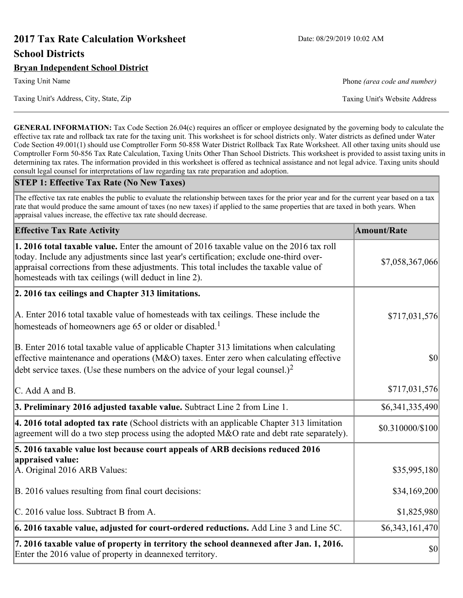# **2017 Tax Rate Calculation Worksheet** Date: 08/29/2019 10:02 AM **School Districts**

**GENERAL INFORMATION:** Tax Code Section 26.04(c) requires an officer or employee designated by the governing body to calculate the effective tax rate and rollback tax rate for the taxing unit. This worksheet is for school districts only. Water districts as defined under Water Code Section 49.001(1) should use Comptroller Form 50-858 Water District Rollback Tax Rate Worksheet. All other taxing units should use Comptroller Form 50-856 Tax Rate Calculation, Taxing Units Other Than School Districts. This worksheet is provided to assist taxing units in determining tax rates. The information provided in this worksheet is offered as technical assistance and not legal advice. Taxing units should consult legal counsel for interpretations of law regarding tax rate preparation and adoption.

#### **STEP 1: Effective Tax Rate (No New Taxes)**

The effective tax rate enables the public to evaluate the relationship between taxes for the prior year and for the current year based on a tax rate that would produce the same amount of taxes (no new taxes) if applied to the same properties that are taxed in both years. When appraisal values increase, the effective tax rate should decrease.

| <b>Effective Tax Rate Activity</b>                                                                                                                                                                                                                                                                                                            | <b>Amount/Rate</b> |
|-----------------------------------------------------------------------------------------------------------------------------------------------------------------------------------------------------------------------------------------------------------------------------------------------------------------------------------------------|--------------------|
| <b>1. 2016 total taxable value.</b> Enter the amount of 2016 taxable value on the 2016 tax roll<br>today. Include any adjustments since last year's certification; exclude one-third over-<br>appraisal corrections from these adjustments. This total includes the taxable value of<br>homesteads with tax ceilings (will deduct in line 2). | \$7,058,367,066    |
| 2. 2016 tax ceilings and Chapter 313 limitations.                                                                                                                                                                                                                                                                                             |                    |
| A. Enter 2016 total taxable value of homesteads with tax ceilings. These include the<br>homesteads of homeowners age 65 or older or disabled. <sup>1</sup>                                                                                                                                                                                    | \$717,031,576      |
| B. Enter 2016 total taxable value of applicable Chapter 313 limitations when calculating<br>effective maintenance and operations ( $M&O$ ) taxes. Enter zero when calculating effective<br>debt service taxes. (Use these numbers on the advice of your legal counsel.) <sup>2</sup>                                                          | 30                 |
| C. Add A and B.                                                                                                                                                                                                                                                                                                                               | \$717,031,576      |
| 3. Preliminary 2016 adjusted taxable value. Subtract Line 2 from Line 1.                                                                                                                                                                                                                                                                      | \$6,341,335,490    |
| $\vert$ 4. 2016 total adopted tax rate (School districts with an applicable Chapter 313 limitation<br>agreement will do a two step process using the adopted M&O rate and debt rate separately).                                                                                                                                              | \$0.310000/\$100   |
| 5. 2016 taxable value lost because court appeals of ARB decisions reduced 2016                                                                                                                                                                                                                                                                |                    |
| appraised value:<br>A. Original 2016 ARB Values:                                                                                                                                                                                                                                                                                              | \$35,995,180       |
| B. 2016 values resulting from final court decisions:                                                                                                                                                                                                                                                                                          | \$34,169,200       |
| C. 2016 value loss. Subtract B from A.                                                                                                                                                                                                                                                                                                        | \$1,825,980        |
| 6. 2016 taxable value, adjusted for court-ordered reductions. Add Line 3 and Line 5C.                                                                                                                                                                                                                                                         | \$6,343,161,470    |
| 7. 2016 taxable value of property in territory the school deannexed after Jan. 1, 2016.<br>Enter the 2016 value of property in deannexed territory.                                                                                                                                                                                           | $ 10\rangle$       |

Taxing Unit Name **Phone** *(area code and number)* Phone *(area code and number)*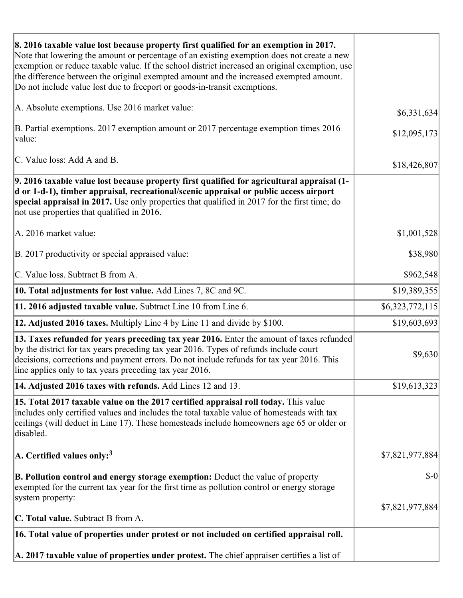| 8. 2016 taxable value lost because property first qualified for an exemption in 2017.<br>Note that lowering the amount or percentage of an existing exemption does not create a new<br>exemption or reduce taxable value. If the school district increased an original exemption, use<br>the difference between the original exempted amount and the increased exempted amount.<br>Do not include value lost due to freeport or goods-in-transit exemptions. |                 |
|--------------------------------------------------------------------------------------------------------------------------------------------------------------------------------------------------------------------------------------------------------------------------------------------------------------------------------------------------------------------------------------------------------------------------------------------------------------|-----------------|
| A. Absolute exemptions. Use 2016 market value:                                                                                                                                                                                                                                                                                                                                                                                                               |                 |
|                                                                                                                                                                                                                                                                                                                                                                                                                                                              | \$6,331,634     |
| B. Partial exemptions. 2017 exemption amount or 2017 percentage exemption times 2016<br>value:                                                                                                                                                                                                                                                                                                                                                               | \$12,095,173    |
| C. Value loss: Add A and B.                                                                                                                                                                                                                                                                                                                                                                                                                                  | \$18,426,807    |
| 9. 2016 taxable value lost because property first qualified for agricultural appraisal (1-<br>d or 1-d-1), timber appraisal, recreational/scenic appraisal or public access airport<br>special appraisal in 2017. Use only properties that qualified in 2017 for the first time; do<br>not use properties that qualified in 2016.                                                                                                                            |                 |
| A. 2016 market value:                                                                                                                                                                                                                                                                                                                                                                                                                                        | \$1,001,528     |
| B. 2017 productivity or special appraised value:                                                                                                                                                                                                                                                                                                                                                                                                             | \$38,980        |
| C. Value loss. Subtract B from A.                                                                                                                                                                                                                                                                                                                                                                                                                            | \$962,548       |
| 10. Total adjustments for lost value. Add Lines 7, 8C and 9C.                                                                                                                                                                                                                                                                                                                                                                                                | \$19,389,355    |
| 11. 2016 adjusted taxable value. Subtract Line 10 from Line 6.                                                                                                                                                                                                                                                                                                                                                                                               | \$6,323,772,115 |
| <b>12. Adjusted 2016 taxes.</b> Multiply Line 4 by Line 11 and divide by \$100.                                                                                                                                                                                                                                                                                                                                                                              | \$19,603,693    |
| [13. Taxes refunded for years preceding tax year 2016. Enter the amount of taxes refunded]<br>by the district for tax years preceding tax year 2016. Types of refunds include court<br>decisions, corrections and payment errors. Do not include refunds for tax year 2016. This<br>line applies only to tax years preceding tax year 2016.                                                                                                                  | \$9,630         |
| 14. Adjusted 2016 taxes with refunds. Add Lines 12 and 13.                                                                                                                                                                                                                                                                                                                                                                                                   | \$19,613,323    |
| 15. Total 2017 taxable value on the 2017 certified appraisal roll today. This value<br>includes only certified values and includes the total taxable value of homesteads with tax<br>ceilings (will deduct in Line 17). These homesteads include homeowners age 65 or older or<br>disabled.                                                                                                                                                                  |                 |
| A. Certified values only: <sup>3</sup>                                                                                                                                                                                                                                                                                                                                                                                                                       | \$7,821,977,884 |
| <b>B. Pollution control and energy storage exemption:</b> Deduct the value of property<br>exempted for the current tax year for the first time as pollution control or energy storage<br>system property:                                                                                                                                                                                                                                                    | $$-0$           |
| <b>C. Total value.</b> Subtract B from A.                                                                                                                                                                                                                                                                                                                                                                                                                    | \$7,821,977,884 |
|                                                                                                                                                                                                                                                                                                                                                                                                                                                              |                 |
| 16. Total value of properties under protest or not included on certified appraisal roll.                                                                                                                                                                                                                                                                                                                                                                     |                 |
| A. 2017 taxable value of properties under protest. The chief appraiser certifies a list of                                                                                                                                                                                                                                                                                                                                                                   |                 |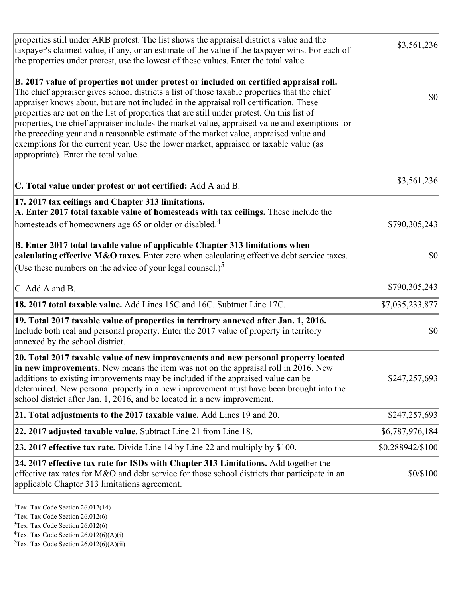| properties still under ARB protest. The list shows the appraisal district's value and the<br>taxpayer's claimed value, if any, or an estimate of the value if the taxpayer wins. For each of<br>the properties under protest, use the lowest of these values. Enter the total value.                                                                                                                                                                                                                                                                                                                                                                                                                      | \$3,561,236      |
|-----------------------------------------------------------------------------------------------------------------------------------------------------------------------------------------------------------------------------------------------------------------------------------------------------------------------------------------------------------------------------------------------------------------------------------------------------------------------------------------------------------------------------------------------------------------------------------------------------------------------------------------------------------------------------------------------------------|------------------|
| B. 2017 value of properties not under protest or included on certified appraisal roll.<br>The chief appraiser gives school districts a list of those taxable properties that the chief<br>appraiser knows about, but are not included in the appraisal roll certification. These<br>properties are not on the list of properties that are still under protest. On this list of<br>properties, the chief appraiser includes the market value, appraised value and exemptions for<br>the preceding year and a reasonable estimate of the market value, appraised value and<br>exemptions for the current year. Use the lower market, appraised or taxable value (as<br>appropriate). Enter the total value. | <b>\$0</b>       |
| C. Total value under protest or not certified: Add A and B.                                                                                                                                                                                                                                                                                                                                                                                                                                                                                                                                                                                                                                               | \$3,561,236      |
| 17. 2017 tax ceilings and Chapter 313 limitations.<br>A. Enter 2017 total taxable value of homesteads with tax ceilings. These include the<br>homesteads of homeowners age 65 or older or disabled. <sup>4</sup>                                                                                                                                                                                                                                                                                                                                                                                                                                                                                          | \$790,305,243    |
| B. Enter 2017 total taxable value of applicable Chapter 313 limitations when<br>calculating effective M&O taxes. Enter zero when calculating effective debt service taxes.<br>(Use these numbers on the advice of your legal counsel.) <sup>5</sup>                                                                                                                                                                                                                                                                                                                                                                                                                                                       | $ 10\rangle$     |
| C. Add A and B.                                                                                                                                                                                                                                                                                                                                                                                                                                                                                                                                                                                                                                                                                           | \$790,305,243    |
| 18. 2017 total taxable value. Add Lines 15C and 16C. Subtract Line 17C.                                                                                                                                                                                                                                                                                                                                                                                                                                                                                                                                                                                                                                   | \$7,035,233,877  |
| 19. Total 2017 taxable value of properties in territory annexed after Jan. 1, 2016.<br>Include both real and personal property. Enter the 2017 value of property in territory<br>annexed by the school district.                                                                                                                                                                                                                                                                                                                                                                                                                                                                                          | \$0              |
| 20. Total 2017 taxable value of new improvements and new personal property located<br>in new improvements. New means the item was not on the appraisal roll in 2016. New<br>additions to existing improvements may be included if the appraised value can be<br>determined. New personal property in a new improvement must have been brought into the<br>school district after Jan. 1, 2016, and be located in a new improvement.                                                                                                                                                                                                                                                                        | \$247,257,693    |
| 21. Total adjustments to the 2017 taxable value. Add Lines 19 and 20.                                                                                                                                                                                                                                                                                                                                                                                                                                                                                                                                                                                                                                     | \$247,257,693    |
| $ 22.2017$ adjusted taxable value. Subtract Line 21 from Line 18.                                                                                                                                                                                                                                                                                                                                                                                                                                                                                                                                                                                                                                         | \$6,787,976,184  |
| <b>23. 2017 effective tax rate.</b> Divide Line 14 by Line 22 and multiply by \$100.                                                                                                                                                                                                                                                                                                                                                                                                                                                                                                                                                                                                                      | \$0.288942/\$100 |
| 24. 2017 effective tax rate for ISDs with Chapter 313 Limitations. Add together the<br>effective tax rates for M&O and debt service for those school districts that participate in an<br>applicable Chapter 313 limitations agreement.                                                                                                                                                                                                                                                                                                                                                                                                                                                                    | \$0/\$100        |

<sup>1</sup>Tex. Tax Code Section  $26.012(14)$ 

<sup>2</sup>Tex. Tax Code Section 26.012(6)

 $3$ Tex. Tax Code Section 26.012(6)

 ${}^{4}$ Tex. Tax Code Section 26.012(6)(A)(i)

 ${}^{5}$ Tex. Tax Code Section 26.012(6)(A)(ii)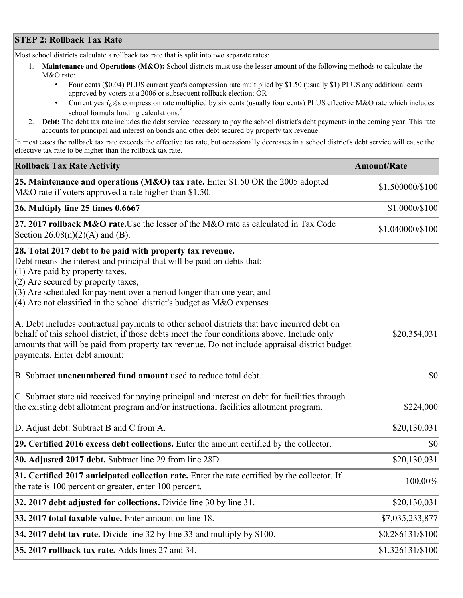## **STEP 2: Rollback Tax Rate**

Most school districts calculate a rollback tax rate that is split into two separate rates:

- 1. **Maintenance and Operations (M&O):** School districts must use the lesser amount of the following methods to calculate the M&O rate:
	- Four cents (\$0.04) PLUS current year's compression rate multiplied by \$1.50 (usually \$1) PLUS any additional cents approved by voters at a 2006 or subsequent rollback election; OR
	- Current year $i/\frac{1}{2}$ s compression rate multiplied by six cents (usually four cents) PLUS effective M&O rate which includes school formula funding calculations.<sup>6</sup>
- 2. **Debt:** The debt tax rate includes the debt service necessary to pay the school district's debt payments in the coming year. This rate accounts for principal and interest on bonds and other debt secured by property tax revenue.

In most cases the rollback tax rate exceeds the effective tax rate, but occasionally decreases in a school district's debt service will cause the effective tax rate to be higher than the rollback tax rate.

| <b>Rollback Tax Rate Activity</b>                                                                                                                                                                                                                                                                                                                                       | <b>Amount/Rate</b> |
|-------------------------------------------------------------------------------------------------------------------------------------------------------------------------------------------------------------------------------------------------------------------------------------------------------------------------------------------------------------------------|--------------------|
| 25. Maintenance and operations (M&O) tax rate. Enter \$1.50 OR the 2005 adopted<br>M&O rate if voters approved a rate higher than \$1.50.                                                                                                                                                                                                                               | \$1.500000/\$100   |
| $26.$ Multiply line 25 times $0.6667$                                                                                                                                                                                                                                                                                                                                   | \$1.0000/\$100     |
| 27. 2017 rollback M&O rate. Use the lesser of the M&O rate as calculated in Tax Code<br>Section 26.08(n)(2)(A) and (B).                                                                                                                                                                                                                                                 | \$1.040000/\$100   |
| 28. Total 2017 debt to be paid with property tax revenue.<br>Debt means the interest and principal that will be paid on debts that:<br>$(1)$ Are paid by property taxes,<br>$(2)$ Are secured by property taxes,<br>$(3)$ Are scheduled for payment over a period longer than one year, and<br>$(4)$ Are not classified in the school district's budget as M&O expenses |                    |
| A. Debt includes contractual payments to other school districts that have incurred debt on<br>behalf of this school district, if those debts meet the four conditions above. Include only<br>amounts that will be paid from property tax revenue. Do not include appraisal district budget<br>payments. Enter debt amount:                                              | \$20,354,031       |
| B. Subtract unencumbered fund amount used to reduce total debt.                                                                                                                                                                                                                                                                                                         | \$0                |
| C. Subtract state aid received for paying principal and interest on debt for facilities through<br>the existing debt allotment program and/or instructional facilities allotment program.                                                                                                                                                                               | \$224,000          |
| D. Adjust debt: Subtract B and C from A.                                                                                                                                                                                                                                                                                                                                | \$20,130,031       |
| 29. Certified 2016 excess debt collections. Enter the amount certified by the collector.                                                                                                                                                                                                                                                                                | \$0                |
| <b>30. Adjusted 2017 debt.</b> Subtract line 29 from line 28D.                                                                                                                                                                                                                                                                                                          | \$20,130,031       |
| 31. Certified 2017 anticipated collection rate. Enter the rate certified by the collector. If<br>the rate is 100 percent or greater, enter 100 percent.                                                                                                                                                                                                                 | 100.00%            |
| 32. 2017 debt adjusted for collections. Divide line 30 by line 31.                                                                                                                                                                                                                                                                                                      | \$20,130,031       |
| 33. 2017 total taxable value. Enter amount on line 18.                                                                                                                                                                                                                                                                                                                  | \$7,035,233,877    |
| 34. 2017 debt tax rate. Divide line 32 by line 33 and multiply by $$100$ .                                                                                                                                                                                                                                                                                              | \$0.286131/\$100   |
| 35. 2017 rollback tax rate. Adds lines 27 and 34.                                                                                                                                                                                                                                                                                                                       | \$1.326131/\$100   |